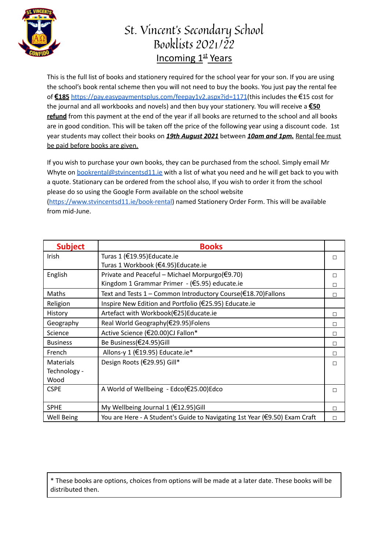

## St. Vincent's Secondary School Booklists 2021/22 Incoming 1st Years

This is the full list of books and stationery required for the school year for your son. If you are using the school's book rental scheme then you will not need to buy the books. You just pay the rental fee of **€185** [https://pay.easypaymentsplus.com/feepay1v2.aspx?id=1171\(](https://pay.easypaymentsplus.com/feepay1v2.aspx?id=1171)this includes the €15 cost for the journal and all workbooks and novels) and then buy your stationery. You will receive a **€50 refund** from this payment at the end of the year if all books are returned to the school and all books are in good condition. This will be taken off the price of the following year using a discount code. 1st year students may collect their books on *19th August 2021* between *10am and 1pm.* Rental fee must be paid before books are given.

If you wish to purchase your own books, they can be purchased from the school. Simply email Mr Whyte on [bookrental@stvincentsd11.ie](mailto:bookrental@stvincentsd11.ie) with a list of what you need and he will get back to you with a quote. Stationary can be ordered from the school also, If you wish to order it from the school please do so using the Google Form available on the school website

[\(https://www.stvincentsd11.ie/book-rental\)](https://www.stvincentsd11.ie/book-rental) named Stationery Order Form. This will be available from mid-June.

| <b>Subject</b>   | <b>Books</b>                                                               |   |
|------------------|----------------------------------------------------------------------------|---|
| Irish            | Turas 1 (€19.95) Educate.ie                                                | П |
|                  | Turas 1 Workbook (€4.95)Educate.ie                                         |   |
| English          | Private and Peaceful – Michael Morpurgo(€9.70)                             | П |
|                  | Kingdom 1 Grammar Primer - (€5.95) educate.ie                              | П |
| Maths            | Text and Tests 1 - Common Introductory Course(€18.70)Fallons               | П |
| Religion         | Inspire New Edition and Portfolio (€25.95) Educate.ie                      |   |
| History          | Artefact with Workbook(€25)Educate.ie                                      | П |
| Geography        | Real World Geography(€29.95)Folens                                         | п |
| Science          | Active Science (€20.00)CJ Fallon*                                          | п |
| <b>Business</b>  | Be Business(€24.95)Gill                                                    | П |
| French           | Allons-y 1 (€19.95) Educate.ie*                                            | П |
| <b>Materials</b> | Design Roots (€29.95) Gill*                                                | П |
| Technology -     |                                                                            |   |
| Wood             |                                                                            |   |
| <b>CSPE</b>      | A World of Wellbeing - Edco(€25.00)Edco                                    | П |
|                  |                                                                            |   |
| <b>SPHE</b>      | My Wellbeing Journal 1 ( $£12.95$ )Gill                                    | П |
| Well Being       | You are Here - A Student's Guide to Navigating 1st Year (€9.50) Exam Craft | П |

\* These books are options, choices from options will be made at a later date. These books will be distributed then.